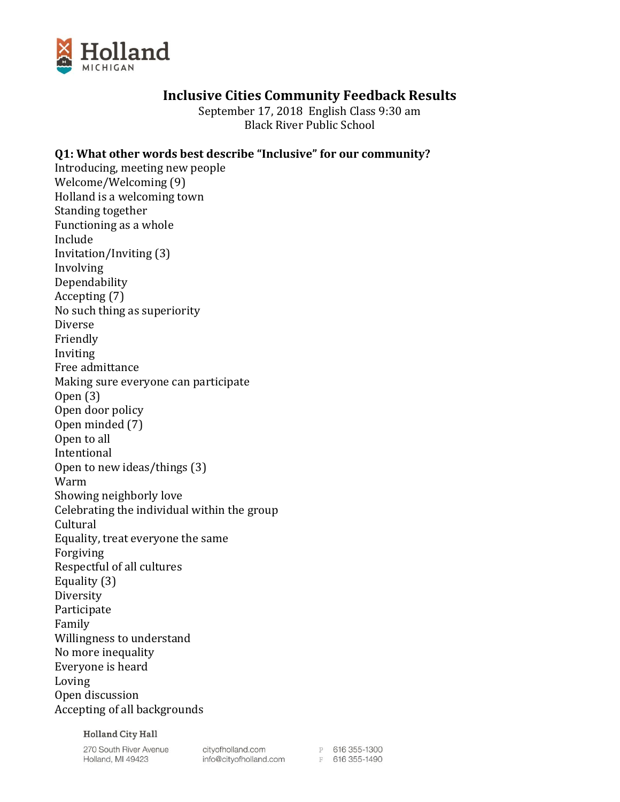

## **Inclusive Cities Community Feedback Results**

September 17, 2018 English Class 9:30 am Black River Public School

## **Q1: What other words best describe "Inclusive" for our community?**

Introducing, meeting new people Welcome/Welcoming (9) Holland is a welcoming town Standing together Functioning as a whole Include Invitation/Inviting (3) Involving Dependability Accepting (7) No such thing as superiority Diverse Friendly Inviting Free admittance Making sure everyone can participate Open (3) Open door policy Open minded (7) Open to all Intentional Open to new ideas/things (3) Warm Showing neighborly love Celebrating the individual within the group Cultural Equality, treat everyone the same Forgiving Respectful of all cultures Equality (3) Diversity Participate Family Willingness to understand No more inequality Everyone is heard Loving Open discussion Accepting of all backgrounds

**Holland City Hall** 

270 South River Avenue Holland, MI 49423

cityofholland.com<br>info@cityofholland.com<br>F 616 355-1490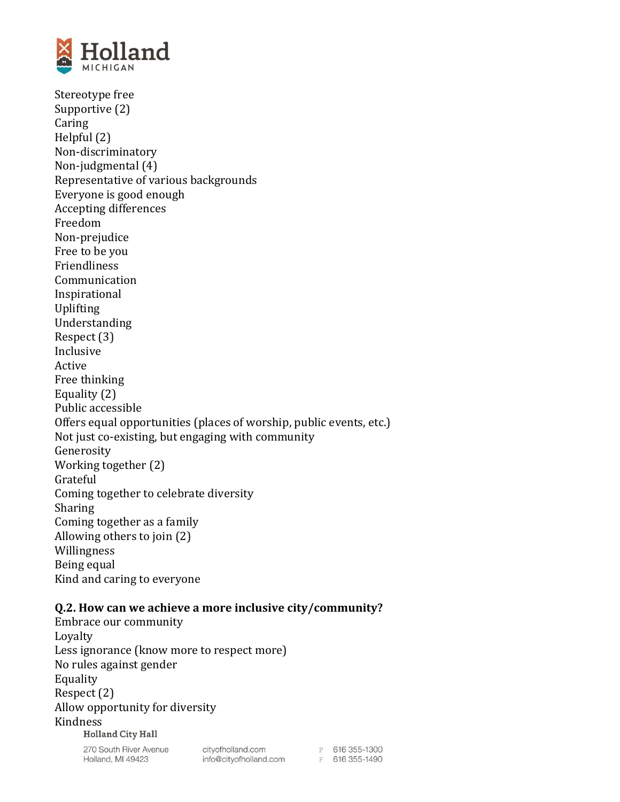

Stereotype free Supportive (2) Caring Helpful (2) Non-discriminatory Non-judgmental (4) Representative of various backgrounds Everyone is good enough Accepting differences Freedom Non-prejudice Free to be you Friendliness Communication Inspirational Uplifting Understanding Respect (3) Inclusive Active Free thinking Equality (2) Public accessible Offers equal opportunities (places of worship, public events, etc.) Not just co-existing, but engaging with community Generosity Working together (2) Grateful Coming together to celebrate diversity Sharing Coming together as a family Allowing others to join (2) Willingness Being equal Kind and caring to everyone

## **Q.2. How can we achieve a more inclusive city/community?**

Embrace our community Loyalty Less ignorance (know more to respect more) No rules against gender Equality Respect (2) Allow opportunity for diversity Kindness**Holland City Hall** 

> 270 South River Avenue Holland, MI 49423

cityofholland.com cityofholland.com<br>info@cityofholland.com

P 616 355-1300 F 616 355-1490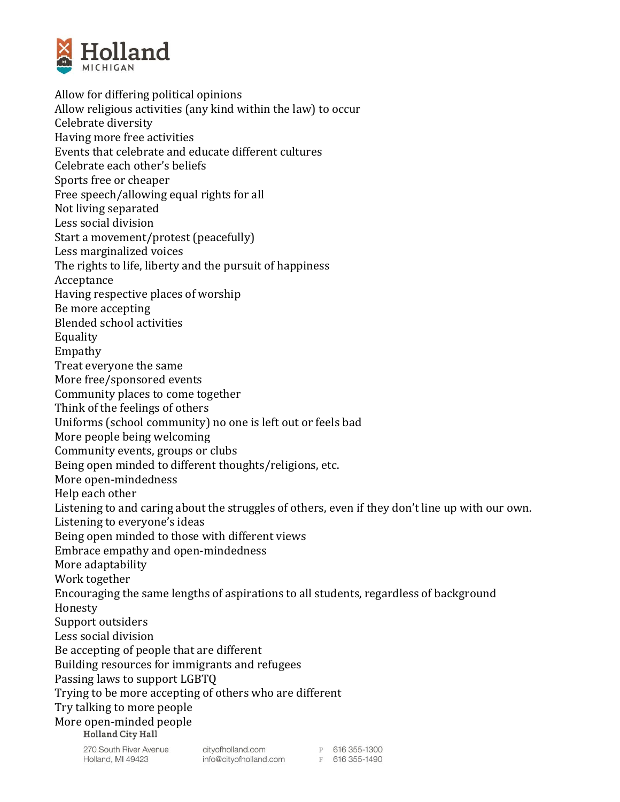

Allow for differing political opinions Allow religious activities (any kind within the law) to occur Celebrate diversity Having more free activities Events that celebrate and educate different cultures Celebrate each other's beliefs Sports free or cheaper Free speech/allowing equal rights for all Not living separated Less social division Start a movement/protest (peacefully) Less marginalized voices The rights to life, liberty and the pursuit of happiness Acceptance Having respective places of worship Be more accepting Blended school activities Equality Empathy Treat everyone the same More free/sponsored events Community places to come together Think of the feelings of others Uniforms (school community) no one is left out or feels bad More people being welcoming Community events, groups or clubs Being open minded to different thoughts/religions, etc. More open-mindedness Help each other Listening to and caring about the struggles of others, even if they don't line up with our own. Listening to everyone's ideas Being open minded to those with different views Embrace empathy and open-mindedness More adaptability Work together Encouraging the same lengths of aspirations to all students, regardless of background Honesty Support outsiders Less social division Be accepting of people that are different Building resources for immigrants and refugees Passing laws to support LGBTQ Trying to be more accepting of others who are different Try talking to more people More open-minded peopleP 616 355-1300 cityofholland.com

270 South River Avenue Holland, MI 49423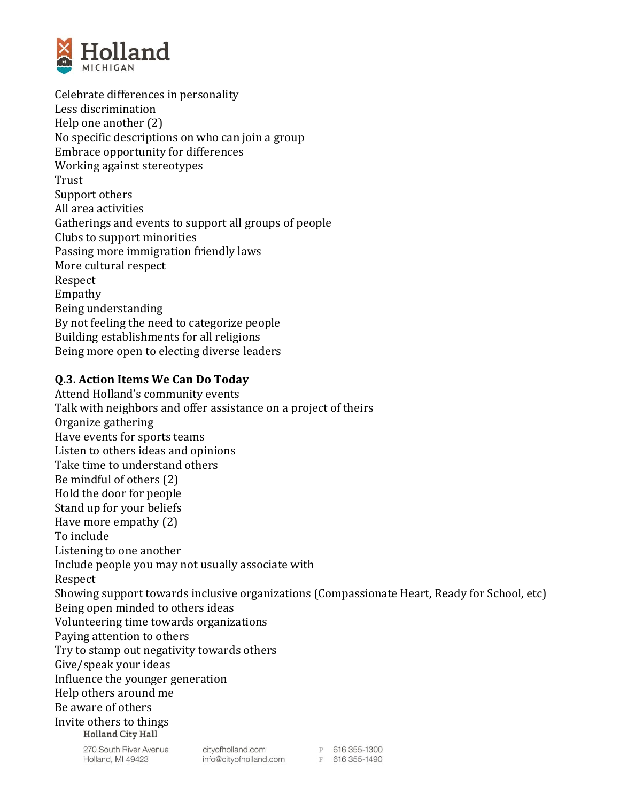

Celebrate differences in personality Less discrimination Help one another (2) No specific descriptions on who can join a group Embrace opportunity for differences Working against stereotypes Trust Support others All area activities Gatherings and events to support all groups of people Clubs to support minorities Passing more immigration friendly laws More cultural respect Respect Empathy Being understanding By not feeling the need to categorize people Building establishments for all religions Being more open to electing diverse leaders

## **Q.3. Action Items We Can Do Today**

Attend Holland's community events Talk with neighbors and offer assistance on a project of theirs Organize gathering Have events for sports teams Listen to others ideas and opinions Take time to understand others Be mindful of others (2) Hold the door for people Stand up for your beliefs Have more empathy (2) To include Listening to one another Include people you may not usually associate with Respect Showing support towards inclusive organizations (Compassionate Heart, Ready for School, etc) Being open minded to others ideas Volunteering time towards organizations Paying attention to others Try to stamp out negativity towards others Give/speak your ideas Influence the younger generation Help others around me Be aware of others Invite others to things**Holland City Hall**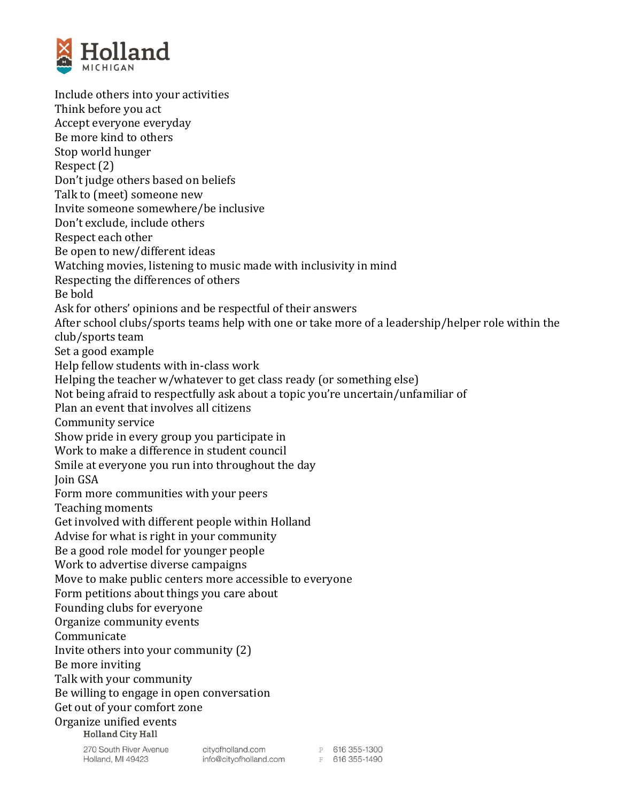

Include others into your activities Think before you act Accept everyone everyday Be more kind to others Stop world hunger Respect (2) Don't judge others based on beliefs Talk to (meet) someone new Invite someone somewhere/be inclusive Don't exclude, include others Respect each other Be open to new/different ideas Watching movies, listening to music made with inclusivity in mind Respecting the differences of others Be bold Ask for others' opinions and be respectful of their answers After school clubs/sports teams help with one or take more of a leadership/helper role within the club/sports team Set a good example Help fellow students with in-class work Helping the teacher w/whatever to get class ready (or something else) Not being afraid to respectfully ask about a topic you're uncertain/unfamiliar of Plan an event that involves all citizens Community service Show pride in every group you participate in Work to make a difference in student council Smile at everyone you run into throughout the day Join GSA Form more communities with your peers Teaching moments Get involved with different people within Holland Advise for what is right in your community Be a good role model for younger people Work to advertise diverse campaigns Move to make public centers more accessible to everyone Form petitions about things you care about Founding clubs for everyone Organize community events Communicate Invite others into your community (2) Be more inviting Talk with your community Be willing to engage in open conversation Get out of your comfort zone Organize unified eventsHolland City Hall

270 South River Avenue Holland, MI 49423

cityofholland.com cityofholland.com<br>info@cityofholland.com

P 616 355-1300 F 616 355-1490